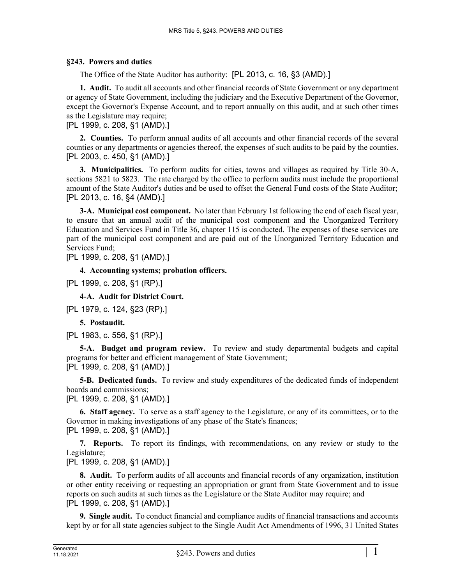## **§243. Powers and duties**

The Office of the State Auditor has authority: [PL 2013, c. 16, §3 (AMD).]

**1. Audit.** To audit all accounts and other financial records of State Government or any department or agency of State Government, including the judiciary and the Executive Department of the Governor, except the Governor's Expense Account, and to report annually on this audit, and at such other times as the Legislature may require;

[PL 1999, c. 208, §1 (AMD).]

**2. Counties.** To perform annual audits of all accounts and other financial records of the several counties or any departments or agencies thereof, the expenses of such audits to be paid by the counties. [PL 2003, c. 450, §1 (AMD).]

**3. Municipalities.** To perform audits for cities, towns and villages as required by Title 30-A, sections 5821 to 5823. The rate charged by the office to perform audits must include the proportional amount of the State Auditor's duties and be used to offset the General Fund costs of the State Auditor; [PL 2013, c. 16, §4 (AMD).]

**3-A. Municipal cost component.** No later than February 1st following the end of each fiscal year, to ensure that an annual audit of the municipal cost component and the Unorganized Territory Education and Services Fund in Title 36, chapter 115 is conducted. The expenses of these services are part of the municipal cost component and are paid out of the Unorganized Territory Education and Services Fund;

[PL 1999, c. 208, §1 (AMD).]

**4. Accounting systems; probation officers.** 

[PL 1999, c. 208, §1 (RP).]

**4-A. Audit for District Court.** 

[PL 1979, c. 124, §23 (RP).]

**5. Postaudit.** 

[PL 1983, c. 556, §1 (RP).]

**5-A. Budget and program review.** To review and study departmental budgets and capital programs for better and efficient management of State Government; [PL 1999, c. 208, §1 (AMD).]

**5-B. Dedicated funds.** To review and study expenditures of the dedicated funds of independent boards and commissions;

[PL 1999, c. 208, §1 (AMD).]

**6. Staff agency.** To serve as a staff agency to the Legislature, or any of its committees, or to the Governor in making investigations of any phase of the State's finances; [PL 1999, c. 208, §1 (AMD).]

**7. Reports.** To report its findings, with recommendations, on any review or study to the Legislature;

[PL 1999, c. 208, §1 (AMD).]

**8. Audit.** To perform audits of all accounts and financial records of any organization, institution or other entity receiving or requesting an appropriation or grant from State Government and to issue reports on such audits at such times as the Legislature or the State Auditor may require; and [PL 1999, c. 208, §1 (AMD).]

**9. Single audit.** To conduct financial and compliance audits of financial transactions and accounts kept by or for all state agencies subject to the Single Audit Act Amendments of 1996, 31 United States